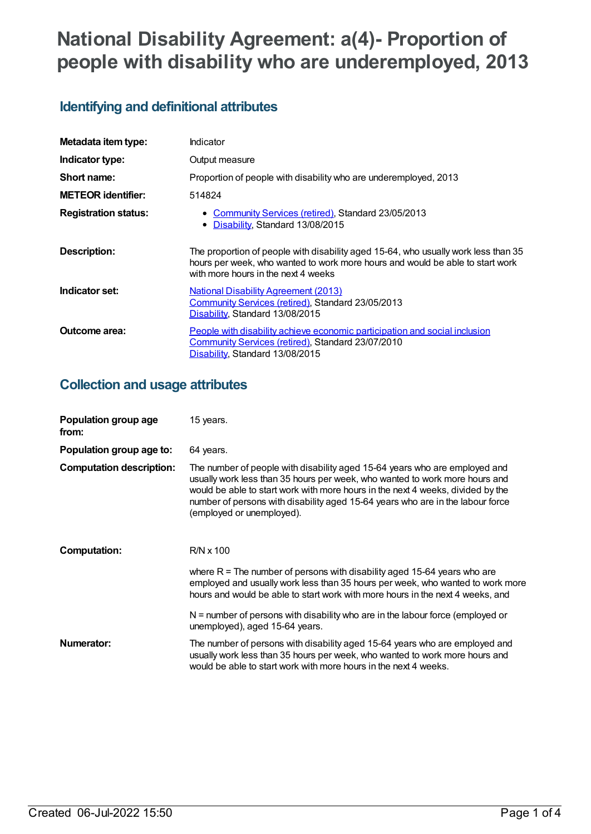# **National Disability Agreement: a(4)- Proportion of people with disability who are underemployed, 2013**

## **Identifying and definitional attributes**

| Metadata item type:         | Indicator                                                                                                                                                                                                  |
|-----------------------------|------------------------------------------------------------------------------------------------------------------------------------------------------------------------------------------------------------|
| Indicator type:             | Output measure                                                                                                                                                                                             |
| Short name:                 | Proportion of people with disability who are underemployed, 2013                                                                                                                                           |
| <b>METEOR identifier:</b>   | 514824                                                                                                                                                                                                     |
| <b>Registration status:</b> | • Community Services (retired), Standard 23/05/2013<br>• Disability, Standard 13/08/2015                                                                                                                   |
| <b>Description:</b>         | The proportion of people with disability aged 15-64, who usually work less than 35<br>hours per week, who wanted to work more hours and would be able to start work<br>with more hours in the next 4 weeks |
| Indicator set:              | <b>National Disability Agreement (2013)</b><br>Community Services (retired), Standard 23/05/2013<br>Disability, Standard 13/08/2015                                                                        |
| Outcome area:               | People with disability achieve economic participation and social inclusion<br>Community Services (retired), Standard 23/07/2010<br>Disability, Standard 13/08/2015                                         |

#### **Collection and usage attributes**

| Population group age<br>from:   | 15 years.                                                                                                                                                                                                                                                                                                                                                   |
|---------------------------------|-------------------------------------------------------------------------------------------------------------------------------------------------------------------------------------------------------------------------------------------------------------------------------------------------------------------------------------------------------------|
| Population group age to:        | 64 years.                                                                                                                                                                                                                                                                                                                                                   |
| <b>Computation description:</b> | The number of people with disability aged 15-64 years who are employed and<br>usually work less than 35 hours per week, who wanted to work more hours and<br>would be able to start work with more hours in the next 4 weeks, divided by the<br>number of persons with disability aged 15-64 years who are in the labour force<br>(employed or unemployed). |
| <b>Computation:</b>             | $R/N \times 100$                                                                                                                                                                                                                                                                                                                                            |
|                                 | where $R =$ The number of persons with disability aged 15-64 years who are<br>employed and usually work less than 35 hours per week, who wanted to work more<br>hours and would be able to start work with more hours in the next 4 weeks, and                                                                                                              |
|                                 | $N =$ number of persons with disability who are in the labour force (employed or<br>unemployed), aged 15-64 years.                                                                                                                                                                                                                                          |
| Numerator:                      | The number of persons with disability aged 15-64 years who are employed and<br>usually work less than 35 hours per week, who wanted to work more hours and<br>would be able to start work with more hours in the next 4 weeks.                                                                                                                              |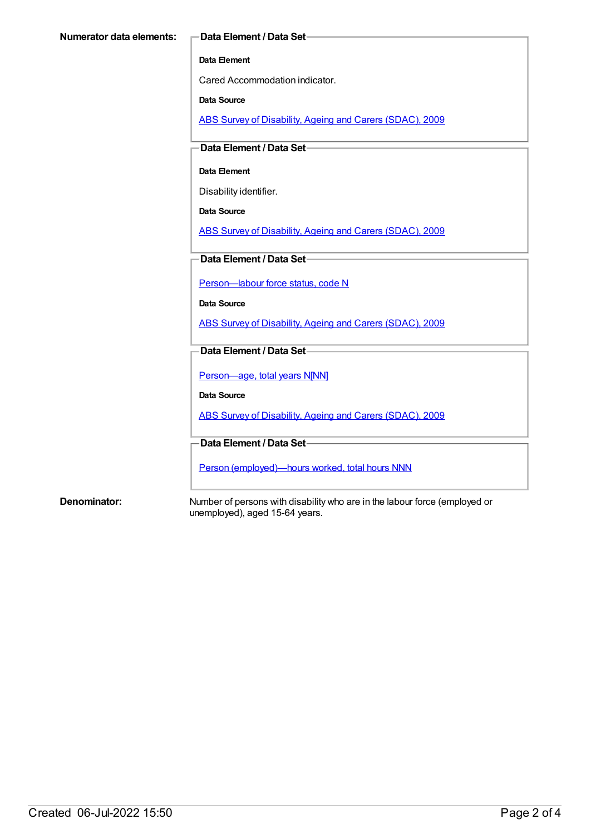#### **Data Element**

Cared Accommodation indicator.

**Data Source**

ABS Survey of [Disability,](https://meteor.aihw.gov.au/content/445288) Ageing and Carers (SDAC), 2009

**Data Element / Data Set**

#### **Data Element**

Disability identifier.

**Data Source**

ABS Survey of [Disability,](https://meteor.aihw.gov.au/content/445288) Ageing and Carers (SDAC), 2009

**Data Element / Data Set**

[Person—labour](https://meteor.aihw.gov.au/content/270112) force status, code N

**Data Source**

ABS Survey of [Disability,](https://meteor.aihw.gov.au/content/445288) Ageing and Carers (SDAC), 2009

**Data Element / Data Set**

[Person—age,](https://meteor.aihw.gov.au/content/303794) total years N[NN]

**Data Source**

ABS Survey of [Disability,](https://meteor.aihw.gov.au/content/445288) Ageing and Carers (SDAC), 2009

**Data Element / Data Set**

Person [\(employed\)—hours](https://meteor.aihw.gov.au/content/314817) worked, total hours NNN

**Denominator:** Number of persons with disability who are in the labour force (employed or unemployed), aged 15-64 years.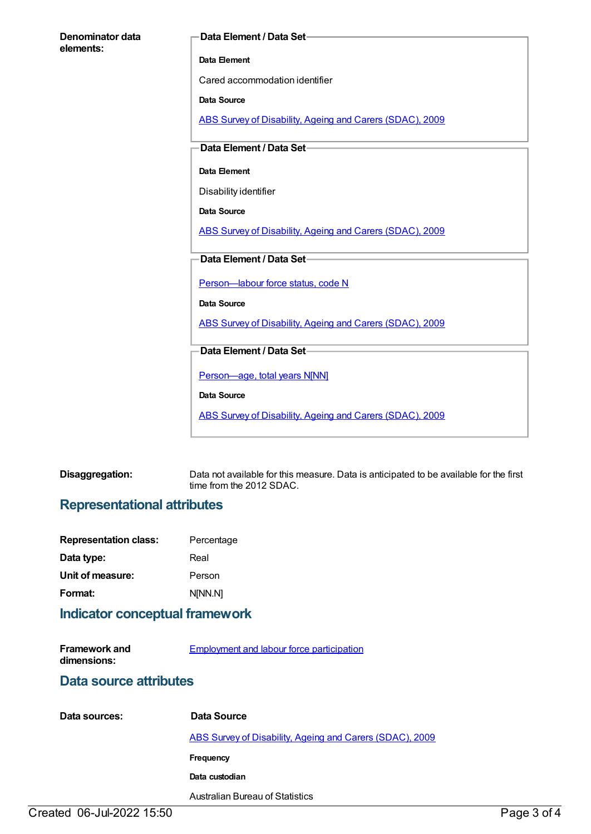| Denominator data<br>elements: | Data Element / Data Set-                                 |
|-------------------------------|----------------------------------------------------------|
|                               | Data Element                                             |
|                               | Cared accommodation identifier                           |
|                               | Data Source                                              |
|                               | ABS Survey of Disability, Ageing and Carers (SDAC), 2009 |
|                               | Data Element / Data Set-                                 |
|                               | Data Element                                             |
|                               | Disability identifier                                    |
|                               | Data Source                                              |
|                               | ABS Survey of Disability, Ageing and Carers (SDAC), 2009 |
|                               | Data Element / Data Set-                                 |
|                               | Person-labour force status, code N                       |
|                               | <b>Data Source</b>                                       |
|                               | ABS Survey of Disability, Ageing and Carers (SDAC), 2009 |
|                               | Data Element / Data Set-                                 |
|                               | Person-age, total years N[NN]                            |
|                               | Data Source                                              |
|                               | ABS Survey of Disability, Ageing and Carers (SDAC), 2009 |

| Disaggregation: | Data not available for this measure. Data is anticipated to be available for the first |
|-----------------|----------------------------------------------------------------------------------------|
|                 | time from the 2012 SDAC.                                                               |

## **Representational attributes**

| <b>Representation class:</b> | Percentage |
|------------------------------|------------|
| Data type:                   | Real       |
| Unit of measure:             | Person     |
| Format:                      | N[NN.N]    |
|                              |            |

## **Indicator conceptual framework**

| <b>Framework and</b> | <b>Employment and labour force participation</b> |
|----------------------|--------------------------------------------------|
| dimensions:          |                                                  |

#### **Data source attributes**

| Data sources: | Data Source                                              |
|---------------|----------------------------------------------------------|
|               | ABS Survey of Disability, Ageing and Carers (SDAC), 2009 |
|               | Frequency                                                |
|               | Data custodian                                           |
|               | Australian Bureau of Statistics                          |